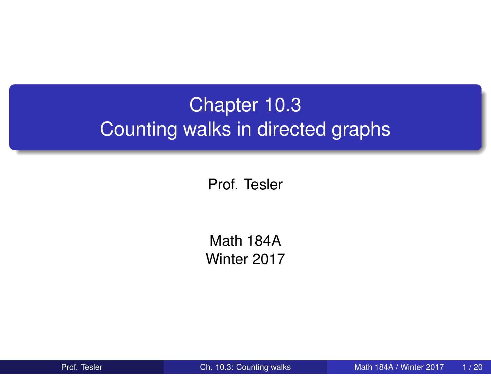# Chapter 10.3 Counting walks in directed graphs

Prof. Tesler

Math 184A Winter 2017

Prof. Tesler **Ch. 10.3: Counting walks** Math 184A / Winter 2017 1/20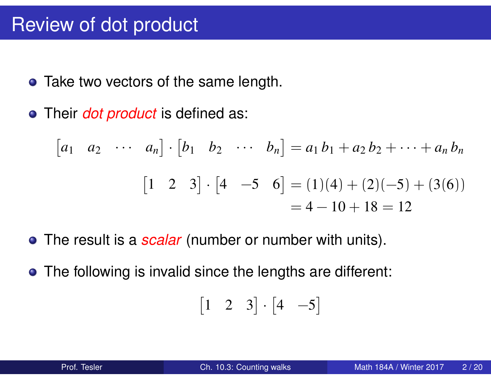### Review of dot product

- Take two vectors of the same length.
- Their *dot product* is defined as:

$$
\begin{bmatrix} a_1 & a_2 & \cdots & a_n \end{bmatrix} \cdot \begin{bmatrix} b_1 & b_2 & \cdots & b_n \end{bmatrix} = a_1 b_1 + a_2 b_2 + \cdots + a_n b_n
$$

$$
\begin{bmatrix} 1 & 2 & 3 \end{bmatrix} \cdot \begin{bmatrix} 4 & -5 & 6 \end{bmatrix} = (1)(4) + (2)(-5) + (3(6))
$$

$$
= 4 - 10 + 18 = 12
$$

- The result is a *scalar* (number or number with units).
- The following is invalid since the lengths are different:

$$
\begin{bmatrix} 1 & 2 & 3 \end{bmatrix} \cdot \begin{bmatrix} 4 & -5 \end{bmatrix}
$$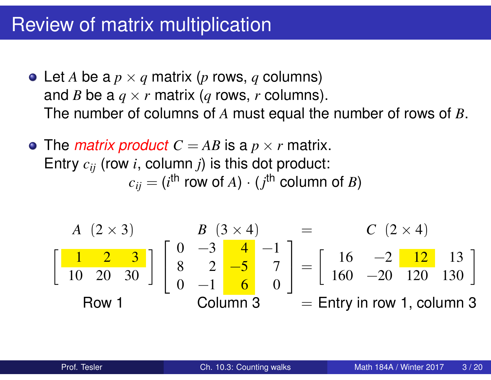## Review of matrix multiplication

- Let *A* be a  $p \times q$  matrix (*p* rows, *q* columns) and *B* be a  $q \times r$  matrix (*q* rows, *r* columns). The number of columns of *A* must equal the number of rows of *B*.
- The *matrix product*  $C = AB$  is a  $p \times r$  matrix. Entry *cij* (row *i*, column *j*) is this dot product:  $c_{ij} = (i^{\sf th}$  row of  $A) \cdot (j^{\sf th}$  column of  $B)$

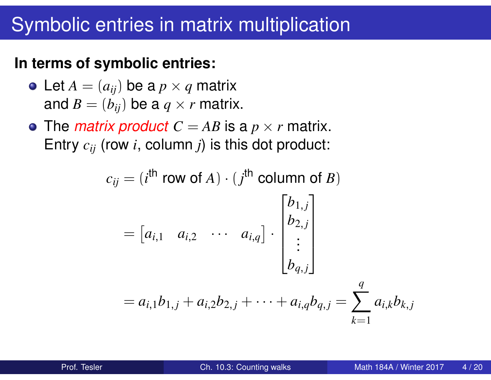### Symbolic entries in matrix multiplication

#### **In terms of symbolic entries:**

- Let  $A = (a_{ij})$  be a  $p \times q$  matrix and  $B = (b_{ij})$  be a  $q \times r$  matrix.
- The *matrix product*  $C = AB$  is a  $p \times r$  matrix. Entry *cij* (row *i*, column *j*) is this dot product:

$$
c_{ij} = (i^{\text{th}} \text{ row of } A) \cdot (j^{\text{th}} \text{ column of } B)
$$
  
=  $[a_{i,1} \ a_{i,2} \ \cdots \ a_{i,q}] \cdot \begin{bmatrix} b_{1,j} \\ b_{2,j} \\ \vdots \\ b_{q,j} \end{bmatrix}$   
=  $a_{i,1}b_{1,j} + a_{i,2}b_{2,j} + \cdots + a_{i,q}b_{q,j} = \sum_{k=1}^{q} a_{i,k}b_{k,j}$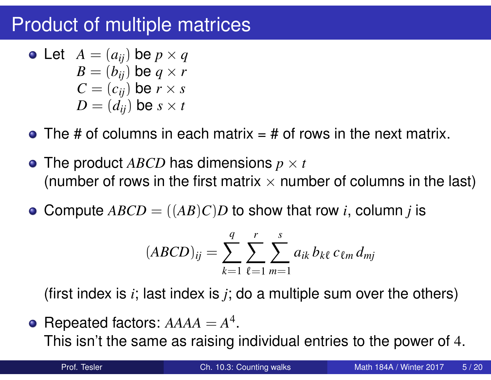## Product of multiple matrices

• Let 
$$
A = (a_{ij})
$$
 be  $p \times q$   
\n $B = (b_{ij})$  be  $q \times r$   
\n $C = (c_{ij})$  be  $r \times s$   
\n $D = (d_{ij})$  be  $s \times t$ 

- $\bullet$  The # of columns in each matrix = # of rows in the next matrix.
- The product  $ABCD$  has dimensions  $p \times t$ (number of rows in the first matrix  $\times$  number of columns in the last)
- Compute  $ABCD = ((AB)C)D$  to show that row *i*, column *j* is  $\bullet$

$$
(ABCD)_{ij} = \sum_{k=1}^{q} \sum_{\ell=1}^{r} \sum_{m=1}^{s} a_{ik} b_{k\ell} c_{\ell m} d_{mj}
$$

(first index is *i*; last index is *j*; do a multiple sum over the others)

Repeated factors:  $AAAA = A^4$ . This isn't the same as raising individual entries to the power of 4.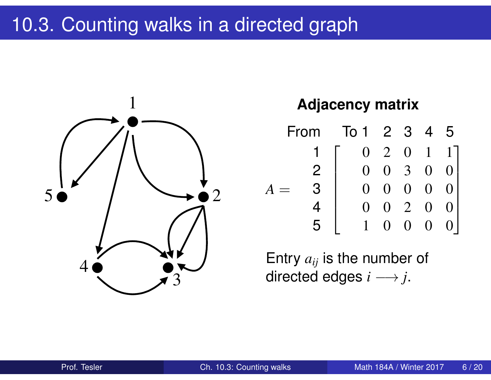## 10.3. Counting walks in a directed graph



#### **Adjacency matrix**

| From |               | $\overline{1}$ o 1 | 2 3               |                  | $\overline{4}$    | 5 |
|------|---------------|--------------------|-------------------|------------------|-------------------|---|
|      |               | ∩                  | $\overline{2}$    | $\Omega$         | $\mathbf{1}$      |   |
|      | $\mathcal{P}$ | $\Omega$           | $\left( \right)$  | 3                | $\left( \right)$  |   |
|      | З             | $\mathbf{\Omega}$  | $\mathbf{\Omega}$ | $\left( \right)$ | ( )               |   |
|      |               | $\mathbf{\Omega}$  | $\mathbf{\Omega}$ | $\overline{2}$   | $\mathbf{\Omega}$ |   |
|      |               |                    |                   | ( )              |                   |   |

Entry *aij* is the number of directed edges  $i \rightarrow j$ .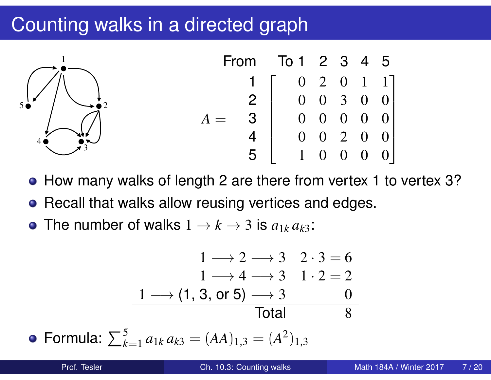### Counting walks in a directed graph



- How many walks of length 2 are there from vertex 1 to vertex 3?
- Recall that walks allow reusing vertices and edges.  $\bullet$
- The number of walks  $1 \rightarrow k \rightarrow 3$  is  $a_{1k}\,a_{k3}$ :

$$
1 \longrightarrow 2 \longrightarrow 3 \mid 2 \cdot 3 = 6
$$
  
\n
$$
1 \longrightarrow 4 \longrightarrow 3 \mid 1 \cdot 2 = 2
$$
  
\n
$$
1 \longrightarrow (1, 3, \text{ or } 5) \longrightarrow 3 \mid 0
$$
  
\nTotal  
\n5  
\nTotal  
\n2  
\n2  
\nTotal  
\n8

Formula:  $\sum_{k=1}^{5} a_{1k} a_{k3} = (AA)_{1,3} = (A^2)_{1,3}$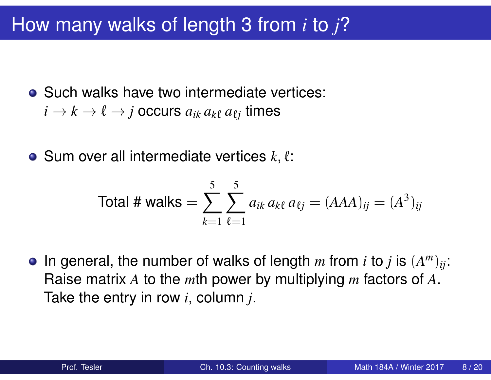### How many walks of length 3 from *i* to *j*?

• Such walks have two intermediate vertices:  $i \rightarrow k \rightarrow \ell \rightarrow j$  occurs  $a_{ik}\,a_{k\ell}\,a_{\ell j}$  times

 $\bullet$  Sum over all intermediate vertices  $k, \ell$ :

Total # walks = 
$$
\sum_{k=1}^{5} \sum_{\ell=1}^{5} a_{ik} a_{k\ell} a_{\ell j} = (AAA)_{ij} = (A^3)_{ij}
$$

In general, the number of walks of length  $m$  from  $i$  to  $j$  is  $(A^m)_{ij}$ :  $\bullet$ Raise matrix *A* to the *m*th power by multiplying *m* factors of *A*. Take the entry in row *i*, column *j*.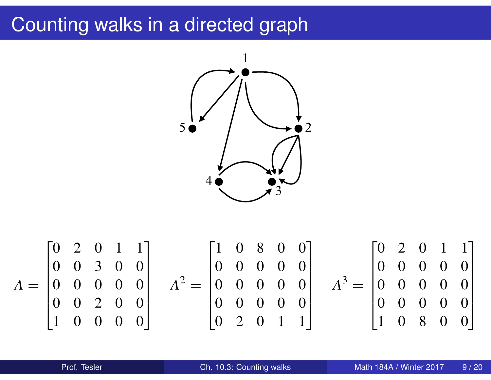### Counting walks in a directed graph

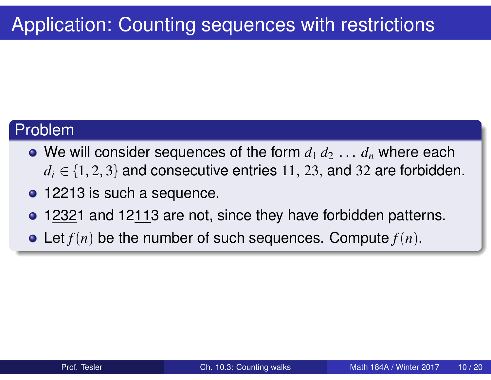#### Problem

- We will consider sequences of the form  $d_1 \, d_2 \, \ldots \, d_n$  where each  $d_i \in \{1, 2, 3\}$  and consecutive entries 11, 23, and 32 are forbidden.
- **o** 12213 is such a sequence.
- 12321 and 12113 are not, since they have forbidden patterns.
- Let *f*(*n*) be the number of such sequences. Compute *f*(*n*).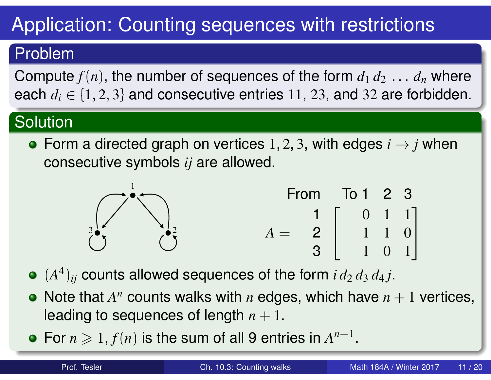# Application: Counting sequences with restrictions

#### Problem

Compute  $f(n)$ , the number of sequences of the form  $d_1 d_2 \ldots d_n$  where each  $d_i \in \{1, 2, 3\}$  and consecutive entries 11, 23, and 32 are forbidden.

### **Solution**

• Form a directed graph on vertices 1, 2, 3, with edges  $i \rightarrow j$  when consecutive symbols *ij* are allowed.



- $(A^4)_{ij}$  counts allowed sequences of the form  $i d_2 d_3 d_4 j$ .
- Note that  $A<sup>n</sup>$  counts walks with  $n$  edges, which have  $n + 1$  vertices, leading to sequences of length  $n + 1$ .
- For  $n \geq 1$ ,  $f(n)$  is the sum of all 9 entries in  $A^{n-1}$ .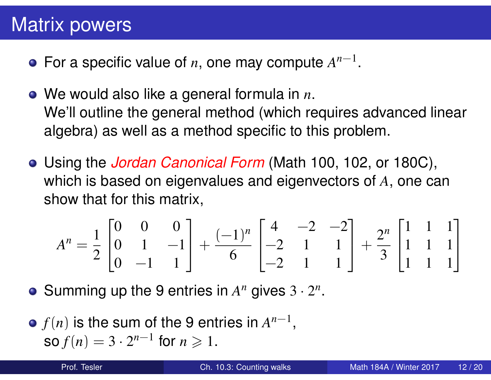### Matrix powers

- For a specific value of  $n$ , one may compute  $A^{n-1}$ .
- We would also like a general formula in *n*. We'll outline the general method (which requires advanced linear algebra) as well as a method specific to this problem.
- Using the *Jordan Canonical Form* (Math 100, 102, or 180C), which is based on eigenvalues and eigenvectors of *A*, one can show that for this matrix,

$$
A^{n} = \frac{1}{2} \begin{bmatrix} 0 & 0 & 0 \\ 0 & 1 & -1 \\ 0 & -1 & 1 \end{bmatrix} + \frac{(-1)^{n}}{6} \begin{bmatrix} 4 & -2 & -2 \\ -2 & 1 & 1 \\ -2 & 1 & 1 \end{bmatrix} + \frac{2^{n}}{3} \begin{bmatrix} 1 & 1 & 1 \\ 1 & 1 & 1 \\ 1 & 1 & 1 \end{bmatrix}
$$

Summing up the 9 entries in  $A^n$  gives  $3 \cdot 2^n$ .

 $f(n)$  is the sum of the 9 entries in  $A^{n-1}$ ,  $\text{so } f(n) = 3 \cdot 2^{n-1} \text{ for } n \geq 1.$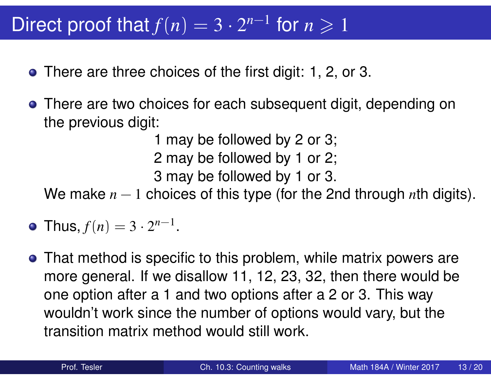# Direct proof that  $f(n) = 3 \cdot 2^{n-1}$  for  $n \ge 1$

- There are three choices of the first digit: 1, 2, or 3.
- There are two choices for each subsequent digit, depending on the previous digit:

1 may be followed by 2 or 3;

2 may be followed by 1 or 2;

3 may be followed by 1 or 3.

We make *n* − 1 choices of this type (for the 2nd through *n*th digits).

- Thus,  $f(n) = 3 \cdot 2^{n-1}$ .
- That method is specific to this problem, while matrix powers are more general. If we disallow 11, 12, 23, 32, then there would be one option after a 1 and two options after a 2 or 3. This way wouldn't work since the number of options would vary, but the transition matrix method would still work.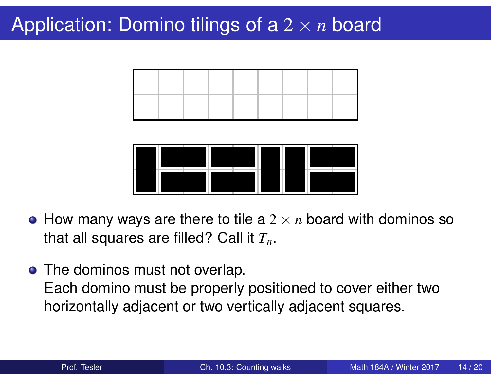## Application: Domino tilings of a 2 × *n* board





- $\bullet$  How many ways are there to tile a 2  $\times$  *n* board with dominos so that all squares are filled? Call it *Tn*.
- The dominos must not overlap. Each domino must be properly positioned to cover either two horizontally adjacent or two vertically adjacent squares.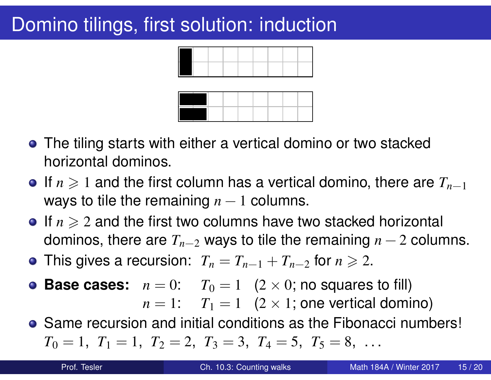## Domino tilings, first solution: induction



- The tiling starts with either a vertical domino or two stacked horizontal dominos.
- If  $n \geq 1$  and the first column has a vertical domino, there are  $T_{n-1}$ ways to tile the remaining  $n-1$  columns.
- **If**  $n \geq 2$  and the first two columns have two stacked horizontal dominos, there are  $T_{n-2}$  ways to tile the remaining  $n-2$  columns.
- **•** This gives a recursion:  $T_n = T_{n-1} + T_{n-2}$  for  $n \ge 2$ .
- **Base cases:**  $n = 0$ :  $T_0 = 1$   $(2 \times 0;$  no squares to fill)  $n = 1$ :  $T_1 = 1$   $(2 \times 1)$ ; one vertical domino)
- Same recursion and initial conditions as the Fibonacci numbers!  $T_0 = 1$ ,  $T_1 = 1$ ,  $T_2 = 2$ ,  $T_3 = 3$ ,  $T_4 = 5$ ,  $T_5 = 8$ , ...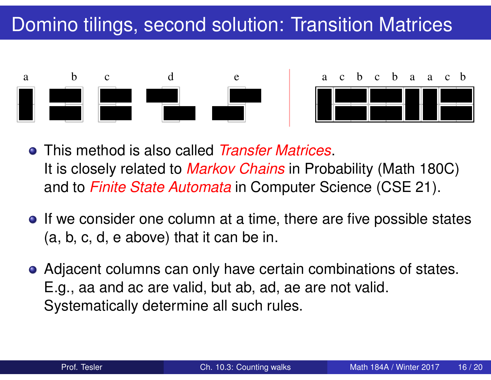



- This method is also called *Transfer Matrices*. It is closely related to *Markov Chains* in Probability (Math 180C) and to *Finite State Automata* in Computer Science (CSE 21).
- If we consider one column at a time, there are five possible states (a, b, c, d, e above) that it can be in.
- Adjacent columns can only have certain combinations of states. E.g., aa and ac are valid, but ab, ad, ae are not valid. Systematically determine all such rules.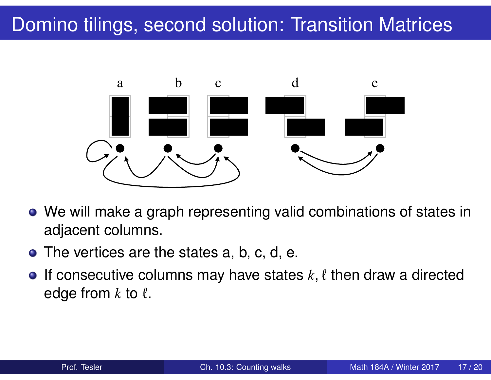

- We will make a graph representing valid combinations of states in adjacent columns.
- The vertices are the states a, b, c, d, e.  $\blacksquare$
- If consecutive columns may have states  $k, \ell$  then draw a directed  $\bullet$ edge from  $k$  to  $\ell$ .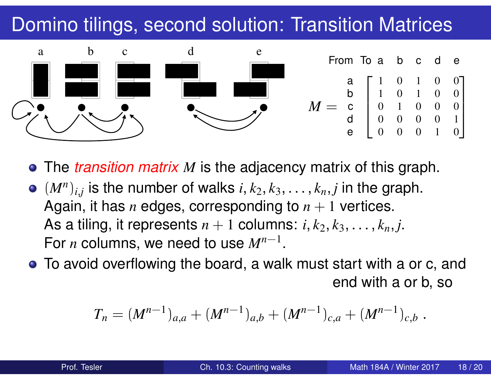

The *transition matrix M* is the adjacency matrix of this graph.

- $(M^n)_{i,j}$  is the number of walks  $i, k_2, k_3, \ldots, k_n, j$  in the graph. Again, it has *n* edges, corresponding to  $n + 1$  vertices. As a tiling, it represents  $n + 1$  columns:  $i, k_2, k_3, \ldots, k_n, j$ . For *n* columns, we need to use *Mn*−<sup>1</sup> .
- To avoid overflowing the board, a walk must start with a or c, and end with a or b, so

$$
T_n = (M^{n-1})_{a,a} + (M^{n-1})_{a,b} + (M^{n-1})_{c,a} + (M^{n-1})_{c,b}.
$$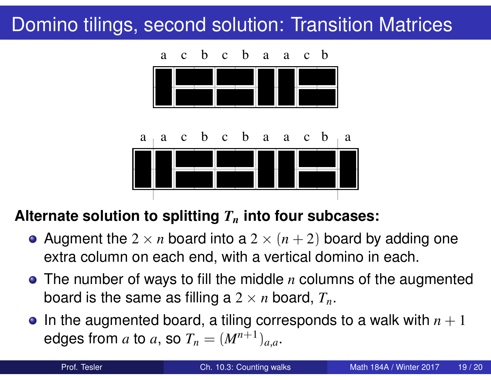

#### **Alternate solution to splitting** *T<sup>n</sup>* **into four subcases:**

- Augment the  $2 \times n$  board into a  $2 \times (n+2)$  board by adding one extra column on each end, with a vertical domino in each.
- The number of ways to fill the middle *n* columns of the augmented board is the same as filling a  $2 \times n$  board,  $T_n$ .
- In the augmented board, a tiling corresponds to a walk with  $n + 1$ edges from  $a$  to  $a$ , so  $T_n = (M^{n+1})_{a,a}$ .